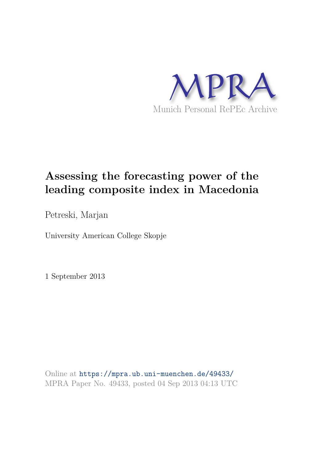

# **Assessing the forecasting power of the leading composite index in Macedonia**

Petreski, Marjan

University American College Skopje

1 September 2013

Online at https://mpra.ub.uni-muenchen.de/49433/ MPRA Paper No. 49433, posted 04 Sep 2013 04:13 UTC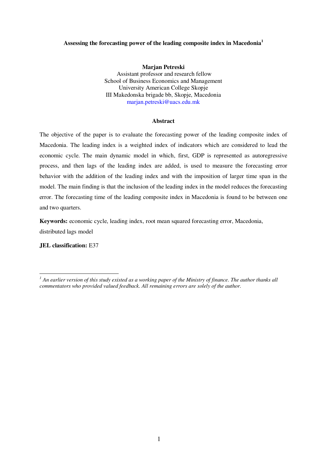# **Assessing the forecasting power of the leading composite index in Macedonia<sup>1</sup>**

**Marjan Petreski**  Assistant professor and research fellow School of Business Economics and Management University American College Skopje III Makedonska brigade bb, Skopje, Macedonia [marjan.petreski@uacs.edu.mk](mailto:marjan.petreski@uacs.edu.mk)

# **Abstract**

The objective of the paper is to evaluate the forecasting power of the leading composite index of Macedonia. The leading index is a weighted index of indicators which are considered to lead the economic cycle. The main dynamic model in which, first, GDP is represented as autoregressive process, and then lags of the leading index are added, is used to measure the forecasting error behavior with the addition of the leading index and with the imposition of larger time span in the model. The main finding is that the inclusion of the leading index in the model reduces the forecasting error. The forecasting time of the leading composite index in Macedonia is found to be between one and two quarters.

**Keywords:** economic cycle, leading index, root mean squared forecasting error, Macedonia, distributed lags model

**JEL classification:** E37

 *1 An earlier version of this study existed as a working paper of the Ministry of finance. The author thanks all commentators who provided valued feedback. All remaining errors are solely of the author.*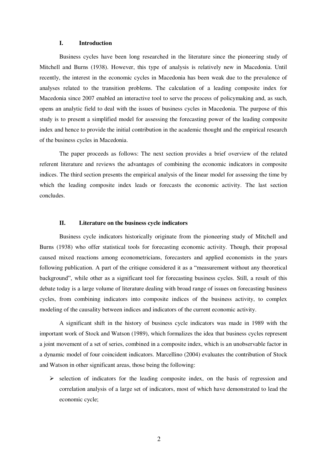#### **I. Introduction**

Business cycles have been long researched in the literature since the pioneering study of Mitchell and Burns (1938). However, this type of analysis is relatively new in Macedonia. Until recently, the interest in the economic cycles in Macedonia has been weak due to the prevalence of analyses related to the transition problems. The calculation of a leading composite index for Macedonia since 2007 enabled an interactive tool to serve the process of policymaking and, as such, opens an analytic field to deal with the issues of business cycles in Macedonia. The purpose of this study is to present a simplified model for assessing the forecasting power of the leading composite index and hence to provide the initial contribution in the academic thought and the empirical research of the business cycles in Macedonia.

The paper proceeds as follows: The next section provides a brief overview of the related referent literature and reviews the advantages of combining the economic indicators in composite indices. The third section presents the empirical analysis of the linear model for assessing the time by which the leading composite index leads or forecasts the economic activity. The last section concludes.

### **II. Literature on the business cycle indicators**

Business cycle indicators historically originate from the pioneering study of Mitchell and Burns (1938) who offer statistical tools for forecasting economic activity. Though, their proposal caused mixed reactions among econometricians, forecasters and applied economists in the years following publication. A part of the critique considered it as a "measurement without any theoretical background", while other as a significant tool for forecasting business cycles. Still, a result of this debate today is a large volume of literature dealing with broad range of issues on forecasting business cycles, from combining indicators into composite indices of the business activity, to complex modeling of the causality between indices and indicators of the current economic activity.

A significant shift in the history of business cycle indicators was made in 1989 with the important work of Stock and Watson (1989), which formalizes the idea that business cycles represent a joint movement of a set of series, combined in a composite index, which is an unobservable factor in a dynamic model of four coincident indicators. Marcellino (2004) evaluates the contribution of Stock and Watson in other significant areas, those being the following:

 $\triangleright$  selection of indicators for the leading composite index, on the basis of regression and correlation analysis of a large set of indicators, most of which have demonstrated to lead the economic cycle;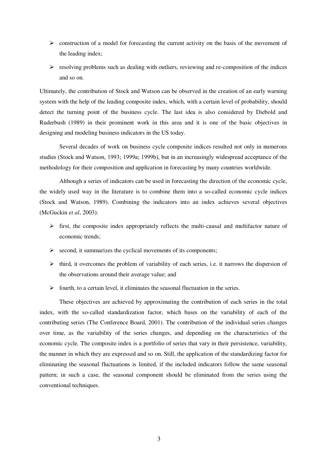- $\triangleright$  construction of a model for forecasting the current activity on the basis of the movement of the leading index;
- $\triangleright$  resolving problems such as dealing with outliers, reviewing and re-composition of the indices and so on.

Ultimately, the contribution of Stock and Watson can be observed in the creation of an early warning system with the help of the leading composite index, which, with a certain level of probability, should detect the turning point of the business cycle. The last idea is also considered by Diebold and Ruderbush (1989) in their prominent work in this area and it is one of the basic objectives in designing and modeling business indicators in the US today.

Several decades of work on business cycle composite indices resulted not only in numerous studies (Stock and Watson, 1993; 1999а; 1999b), but in an increasingly widespread acceptance of the methodology for their composition and application in forecasting by many countries worldwide.

Although a series of indicators can be used in forecasting the direction of the economic cycle, the widely used way in the literature is to combine them into a so-called economic cycle indices (Stock and Watson, 1989). Combining the indicators into an index achieves several objectives (McGuckin *et al*, 2003):

- $\triangleright$  first, the composite index appropriately reflects the multi-causal and multifactor nature of economic trends;
- $\triangleright$  second, it summarizes the cyclical movements of its components;
- $\triangleright$  third, it overcomes the problem of variability of each series, i.e. it narrows the dispersion of the observations around their average value; and
- $\triangleright$  fourth, to a certain level, it eliminates the seasonal fluctuation in the series.

These objectives are achieved by approximating the contribution of each series in the total index, with the so-called standardization factor, which bases on the variability of each of the contributing series (The Conference Board, 2001). The contribution of the individual series changes over time, as the variability of the series changes, and depending on the characteristics of the economic cycle. The composite index is a portfolio of series that vary in their persistence, variability, the manner in which they are expressed and so on. Still, the application of the standardizing factor for eliminating the seasonal fluctuations is limited, if the included indicators follow the same seasonal pattern; in such a case, the seasonal component should be eliminated from the series using the conventional techniques.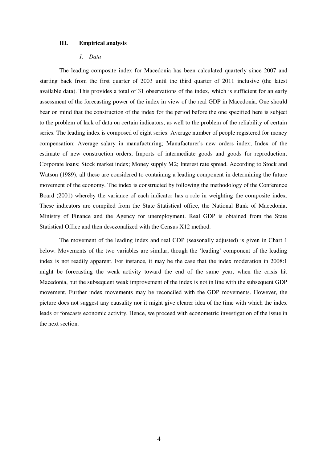#### **III. Empirical analysis**

# *1. Data*

The leading composite index for Macedonia has been calculated quarterly since 2007 and starting back from the first quarter of 2003 until the third quarter of 2011 inclusive (the latest available data). This provides a total of 31 observations of the index, which is sufficient for an early assessment of the forecasting power of the index in view of the real GDP in Macedonia. One should bear on mind that the construction of the index for the period before the one specified here is subject to the problem of lack of data on certain indicators, as well to the problem of the reliability of certain series. The leading index is composed of eight series: Average number of people registered for money compensation; Average salary in manufacturing; Manufacturer's new orders index; Index of the estimate of new construction orders; Imports of intermediate goods and goods for reproduction; Corporate loans; Stock market index; Money supply M2; Interest rate spread. According to Stock and Watson (1989), all these are considered to containing a leading component in determining the future movement of the economy. The index is constructed by following the methodology of the Conference Board (2001) whereby the variance of each indicator has a role in weighting the composite index. These indicators are compiled from the State Statistical office, the National Bank of Macedonia, Ministry of Finance and the Agency for unemployment. Real GDP is obtained from the State Statistical Office and then desezonalized with the Census X12 method.

The movement of the leading index and real GDP (seasonally adjusted) is given in Chart 1 below. Movements of the two variables are similar, though the 'leading' component of the leading index is not readily apparent. For instance, it may be the case that the index moderation in 2008:1 might be forecasting the weak activity toward the end of the same year, when the crisis hit Macedonia, but the subsequent weak improvement of the index is not in line with the subsequent GDP movement. Further index movements may be reconciled with the GDP movements. However, the picture does not suggest any causality nor it might give clearer idea of the time with which the index leads or forecasts economic activity. Hence, we proceed with econometric investigation of the issue in the next section.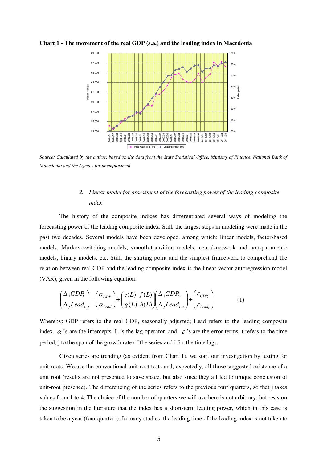

**Chart 1 - The movement of the real GDP (s.a.) and the leading index in Macedonia** 

*Source: Calculated by the author, based on the data from the State Statistical Office, Ministry of Finance, National Bank of Macedonia and the Agency for unemployment* 

# *2. Linear model for assessment of the forecasting power of the leading composite index*

The history of the composite indices has differentiated several ways of modeling the forecasting power of the leading composite index. Still, the largest steps in modeling were made in the past two decades. Several models have been developed, among which: linear models, factor-based models, Markov-switching models, smooth-transition models, neural-network and non-parametric models, binary models, etc. Still, the starting point and the simplest framework to comprehend the relation between real GDP and the leading composite index is the linear vector autoregression model (VAR), given in the following equation:

$$
\begin{pmatrix}\n\Delta_j GDP_t \\
\Delta_j Lead_t\n\end{pmatrix} = \begin{pmatrix}\n\alpha_{GDP} \\
\alpha_{lead}\n\end{pmatrix} + \begin{pmatrix}\ne(L) & f(L)\n\end{pmatrix} \begin{pmatrix}\n\Delta_j GDP_{t-i} \\
\Delta_j Lead_{t-i}\n\end{pmatrix} + \begin{pmatrix}\n\varepsilon_{GDP_t} \\
\varepsilon_{lead_t}\n\end{pmatrix}
$$
\n(1)

Whereby: GDP refers to the real GDP, seasonally adjusted; Lead refers to the leading composite index,  $\alpha$  's are the intercepts, L is the lag operator, and  $\epsilon$  's are the error terms. t refers to the time period, j to the span of the growth rate of the series and i for the time lags.

Given series are trending (as evident from Chart 1), we start our investigation by testing for unit roots. We use the conventional unit root tests and, expectedly, all those suggested existence of a unit root (results are not presented to save space, but also since they all led to unique conclusion of unit-root presence). The differencing of the series refers to the previous four quarters, so that j takes values from 1 to 4. The choice of the number of quarters we will use here is not arbitrary, but rests on the suggestion in the literature that the index has a short-term leading power, which in this case is taken to be a year (four quarters). In many studies, the leading time of the leading index is not taken to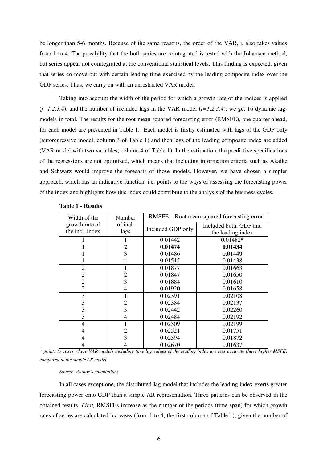be longer than 5-6 months. Because of the same reasons, the order of the VAR, i, also takes values from 1 to 4. The possibility that the both series are cointegrated is tested with the Johansen method, but series appear not cointegrated at the conventional statistical levels. This finding is expected, given that series co-move but with certain leading time exercised by the leading composite index over the GDP series. Thus, we carry on with an unrestricted VAR model.

Taking into account the width of the period for which a growth rate of the indices is applied  $(j=1,2,3,4)$ , and the number of included lags in the VAR model  $(i=1,2,3,4)$ , we get 16 dynamic lagmodels in total. The results for the root mean squared forecasting error (RMSFE), one quarter ahead, for each model are presented in Table 1. Each model is firstly estimated with lags of the GDP only (autoregressive model; column 3 of Table 1) and then lags of the leading composite index are added (VAR model with two variables; column 4 of Table 1). In the estimation, the predictive specifications of the regressions are not optimized, which means that including information criteria such as Akaike and Schwarz would improve the forecasts of those models. However, we have chosen a simpler approach, which has an indicative function, i.e. points to the ways of assessing the forecasting power of the index and highlights how this index could contribute to the analysis of the business cycles.

| Width of the    | Number   | RMSFE – Root mean squared forecasting error |                        |
|-----------------|----------|---------------------------------------------|------------------------|
| growth rate of  | of incl. | Included GDP only                           | Included both, GDP and |
| the incl. index | lags     |                                             | the leading index      |
|                 |          | 0.01442                                     | $0.01482*$             |
|                 | 2        | 0.01474                                     | 0.01434                |
|                 | 3        | 0.01486                                     | 0.01449                |
|                 | 4        | 0.01515                                     | 0.01438                |
| $\overline{2}$  |          | 0.01877                                     | 0.01663                |
| $\overline{2}$  | 2        | 0.01847                                     | 0.01650                |
| $\overline{2}$  | 3        | 0.01884                                     | 0.01610                |
| $\overline{2}$  | 4        | 0.01920                                     | 0.01658                |
| 3               |          | 0.02391                                     | 0.02108                |
| 3               |          | 0.02384                                     | 0.02137                |
| 3               | 3        | 0.02442                                     | 0.02260                |
| 3               |          | 0.02484                                     | 0.02192                |
| 4               |          | 0.02509                                     | 0.02199                |
| 4               | 2        | 0.02521                                     | 0.01751                |
| 4               | 3        | 0.02594                                     | 0.01872                |
| 4               |          | 0.02670                                     | 0.01637                |

|  | Table 1 - Results |
|--|-------------------|
|--|-------------------|

*\* points to cases where VAR models including time lag values of the leading index are less accurate (have higher MSFE) compared to the simple AR model.* 

#### *Source: Author's calculations*

In all cases except one, the distributed-lag model that includes the leading index exerts greater forecasting power onto GDP than a simple AR representation. Three patterns can be observed in the obtained results. *First,* RMSFEs increase as the number of the periods (time span) for which growth rates of series are calculated increases (from 1 to 4, the first column of Table 1), given the number of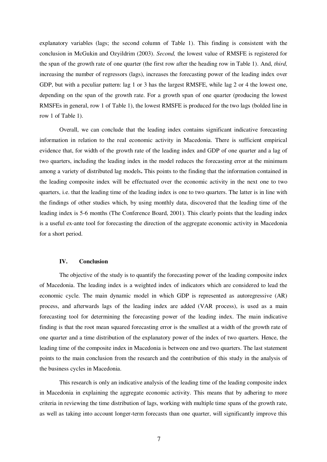explanatory variables (lags; the second column of Table 1). This finding is consistent with the conclusion in McGukin and Ozyildrim (2003). *Second,* the lowest value of RMSFE is registered for the span of the growth rate of one quarter (the first row after the heading row in Table 1). And, *third,*  increasing the number of regressors (lags), increases the forecasting power of the leading index over GDP, but with a peculiar pattern: lag 1 or 3 has the largest RMSFE, while lag 2 or 4 the lowest one, depending on the span of the growth rate. For a growth span of one quarter (producing the lowest RMSFEs in general, row 1 of Table 1), the lowest RMSFE is produced for the two lags (bolded line in row 1 of Table 1).

Overall, we can conclude that the leading index contains significant indicative forecasting information in relation to the real economic activity in Macedonia. There is sufficient empirical evidence that, for width of the growth rate of the leading index and GDP of one quarter and a lag of two quarters, including the leading index in the model reduces the forecasting error at the minimum among a variety of distributed lag models**.** This points to the finding that the information contained in the leading composite index will be effectuated over the economic activity in the next one to two quarters, i.e. that the leading time of the leading index is one to two quarters. The latter is in line with the findings of other studies which, by using monthly data, discovered that the leading time of the leading index is 5-6 months (The Conference Board, 2001). This clearly points that the leading index is a useful ex-ante tool for forecasting the direction of the aggregate economic activity in Macedonia for a short period.

# **IV. Conclusion**

The objective of the study is to quantify the forecasting power of the leading composite index of Macedonia. The leading index is a weighted index of indicators which are considered to lead the economic cycle. The main dynamic model in which GDP is represented as autoregressive (AR) process, and afterwards lags of the leading index are added (VAR process), is used as a main forecasting tool for determining the forecasting power of the leading index. The main indicative finding is that the root mean squared forecasting error is the smallest at a width of the growth rate of one quarter and a time distribution of the explanatory power of the index of two quarters. Hence, the leading time of the composite index in Macedonia is between one and two quarters. The last statement points to the main conclusion from the research and the contribution of this study in the analysis of the business cycles in Macedonia.

This research is only an indicative analysis of the leading time of the leading composite index in Macedonia in explaining the aggregate economic activity. This means that by adhering to more criteria in reviewing the time distribution of lags, working with multiple time spans of the growth rate, as well as taking into account longer-term forecasts than one quarter, will significantly improve this